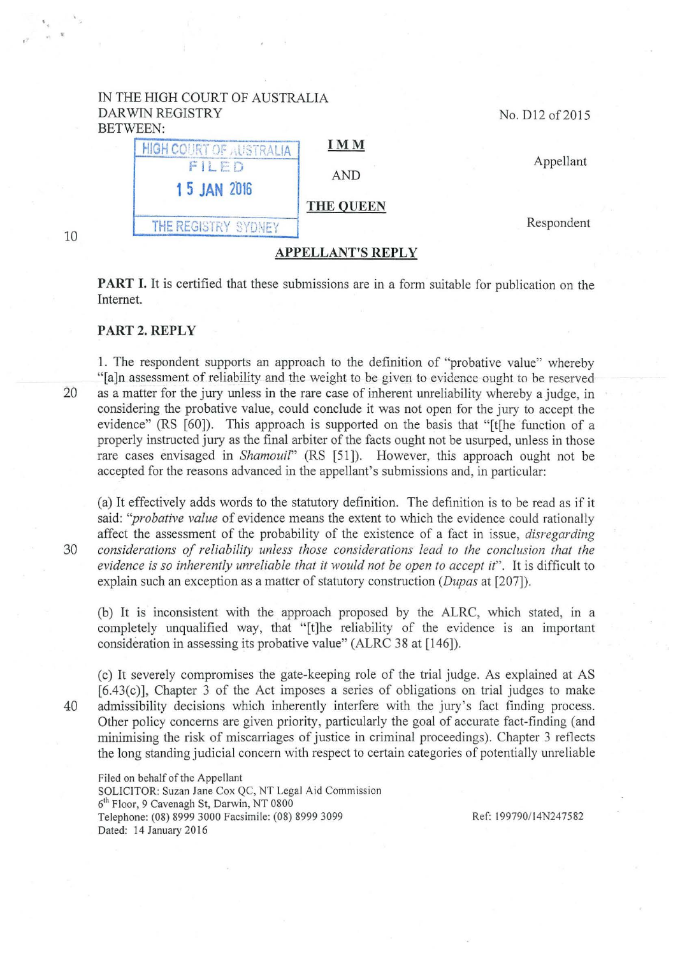## IN THE HIGH COURT OF AUSTRALIA DARWIN REGISTRY BETWEEN:



PART I. It is certified that these submissions are in a form suitable for publication on the Internet.

APPELLANT'S REPLY

## PART 2. REPLY

1. The respondent supports an approach to the definition of "probative value" whereby "[a]n assessment of reliability and the weight to be given to evidence ought to he reserved 20 as a matter for the jury unless in the rare case of inherent unreliability whereby a judge, in considering the probative value, could conclude it was not open for the jury to accept the evidence" (RS [60]). This approach is supported on the basis that "[t] the function of a properly instructed jury as the final arbiter of the facts ought not be usurped, unless in those rare cases envisaged in *Shamouil"* (RS [51]). However, this approach ought not be accepted for the reasons advanced in the appellant's submissions and, in particular:

(a) It effectively adds words to the statutory definition. The definition is to be read as if it said: *''probative value* of evidence means the extent to which the evidence could rationally affect the assessment of the probability of the existence of a fact in issue, *disregarding*  30 *considerations of reliability unless those considerations lead to the conclusion that the evidence is so inherently unreliable that* it *would not be open to accept it".* It is difficult to explain such an exception as a matter of statutory construction *(Dupas* at [207]).

(b) It is inconsistent with the approach proposed by the ALRC, which stated, in a completely unqualified way, that "[t]he reliability of the evidence is an important consideration in assessing its probative value" (ALRC 38 at [146]).

(c) It severely compromises the gate-keeping role of the trial judge. As explained at AS [6.43(c)], Chapter 3 of the Act imposes a series of obligations on trial judges to make 40 admissibility decisions which inherently interfere with the jury's fact finding process. Other policy concerns are given priority, particularly the goal of accurate fact-finding (and minimising the risk of miscarriages of justice in criminal proceedings). Chapter 3 reflects the long standing judicial concern with respect to certain categories of potentially unreliable

Filed on behalf of the Appellant SOLICITOR: Suzan Jane Cox QC, NT Legal Aid Commission 6<sup>th</sup> Floor, 9 Cavenagh St, Darwin, NT 0800 Telephone: (08) 8999 3000 Facsimile: (08) 8999 3099 Dated: 14 January 2016

Ref: 199790/14N247582

No. D12 of 2015

' .

10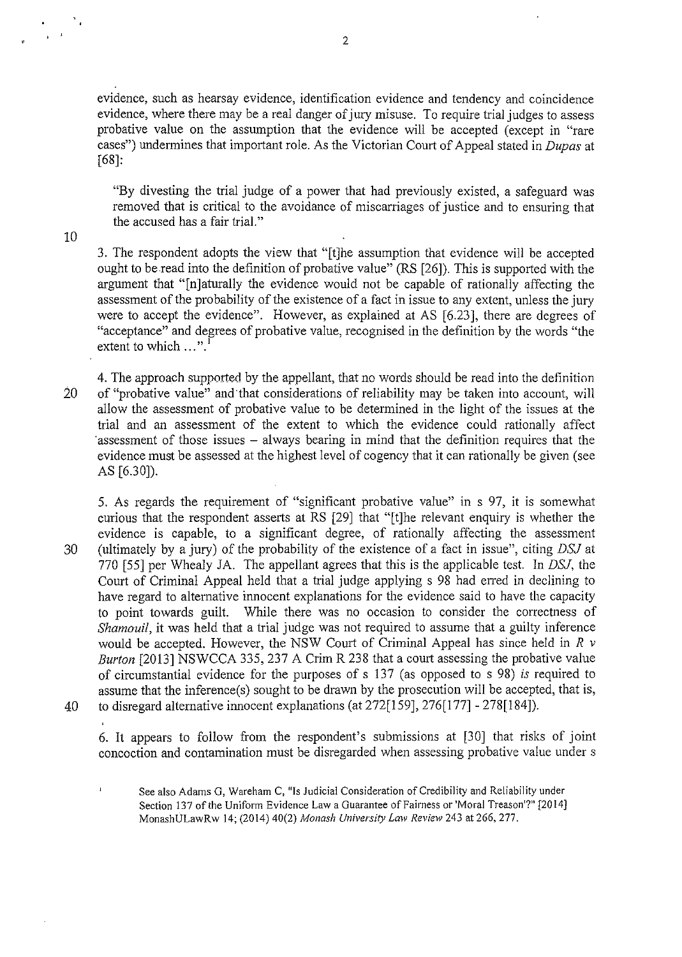evidence, such as hearsay evidence, identification evidence and tendency and coincidence evidence, where there may be a real danger of jury misuse. To require trial judges to assess probative value on the assumption that the evidence will be accepted (except in "rare cases") undermines that important role. As the Victorian Court of Appeal stated in *Dupas* at [68]:

"By divesting the trial judge of a power that had previously existed, a safeguard was removed that is critical to the avoidance of miscarriages of justice and to ensuring that the accused has a fair trial."

10

 $\frac{1}{2}$  ,  $\frac{1}{2}$ 

3. The respondent adopts the view that "[t]he assumption that evidence will be accepted ought to be read into the definition of probative value" (RS [26]). This is supported with the argument that "[n]aturally the evidence would not be capable of rationally affecting the assessment of the probability of the existence of a fact in issue to any extent, unless the jury were to accept the evidence". However, as explained at AS [6.23], there are degrees of "acceptance" and degrees of probative value, recognised in the definition by the words "the extent to which  $\ldots$ "

4. The approach supported by the appellant, that no words should be read into the definition 20 of "probative value" and that considerations of reliability may be taken into account, will allow the assessment of probative value to be determined in the light of the issues at the trial and an assessment of the extent to which the evidence could rationally affect ·assessment of those issues - always bearing in mind that the definition requires that the evidence must be assessed at the highest level of cogency that it can rationally be given (see AS [6.30]).

5. As regards the requirement of "significant probative value" in s 97, it is somewhat curious that the respondent asserts at RS [29] that "[t]he relevant enquiry is whether the evidence is capable, to a significant degree, of rationally affecting the assessment 30 (ultimately by a jury) of the probability of the existence of a fact in issue", citing *DSJ* at 770 [55] per Whealy JA. The appellant agrees that this is the applicable test. In *DSJ,* the Court of Criminal Appeal held that a trial judge applying s 98 had erred in declining to have regard to alternative innocent explanations for the evidence said to have the capacity to point towards guilt. While there was no occasion to consider the correctness of *Shamouil*, it was held that a trial judge was not required to assume that a guilty inference would be accepted. However, the NSW Court of Criminal Appeal has since held in *R v Burton* [2013] NSWCCA 335, 237 A Crim R 238 that a court assessing the probative value of circumstantial evidence for the purposes of s 137 (as opposed to s 98) is required to assume that the inference(s) sought to be drawn by the prosecution will be accepted, that is, 40 to disregard alternative innocent explanations (at 272[159], 276[1 77] - 278[184]).

 $\overline{1}$ 

6. It appears to follow from the respondent's submissions at [30] that risks of joint concoction and contamination must be disregarded when assessing probative value under s

See also Adams G, Wareham C, "Is Judicial Consideration of Credibility and Reliability under Section 137 of the Uniform Evidence Law a Guarantee of Fairness or 'Moral Treason'?" [2014] MonashULawRw 14; (2014) 40(2) *Monash University Law Review* 243 at 266, 277.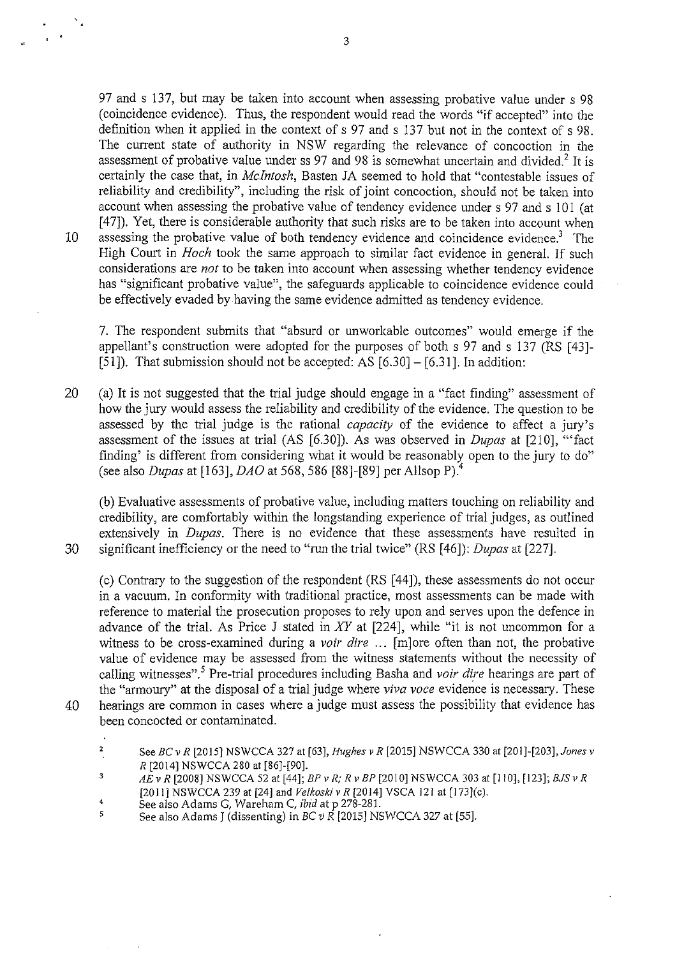97 and s 137, but may be taken into account when assessing probative value under s 98 (coincidence evidence). Thus, the respondent would read the words "if accepted" into the definition when it applied in the context of s 97 and s 137 but not in the context of s 98. The current state of authority in NSW regarding the relevance of concoction in the assessment of probative value under ss 97 and 98 is somewhat uncertain and divided.<sup>2</sup> It is certainly the case that, in *Mcintosh,* Basten JA seemed to hold that "contestable issues of reliability and credibility", including the risk of joint concoction, should not be taken into account when assessing the probative value of tendency evidence under s 97 and s 101 (at [47]). Yet, there is considerable authority that such risks are to be taken into account when 10 assessing the probative value of both tendency evidence and coincidence evidence.<sup>3</sup> The High Court in *Hoch* took the same approach to similar fact evidence in general. If such considerations are *not* to be taken into account when assessing whether tendency evidence has "significant probative value", the safeguards applicable to coincidence evidence could be effectively evaded by having the same evidence admitted as tendency evidence.

7. The respondent submits that "absurd or unworkable outcomes" would emerge if the appellant's construction were adopted for the purposes of both s 97 and s 137 (RS (43]-  $(51)$ . That submission should not be accepted: AS  $(6.30) - (6.31)$ . In addition:

20 (a) It is not suggested that the trial judge should engage in a "fact finding" assessment of how the jury would assess the reliability and credibility of the evidence. The question to be assessed by the trial judge is the rational *capacity* of the evidence to affect a jury's assessment of the issues at trial (AS [6.30]). As was observed in *Dupas* at (210], '"fact finding' is different from considering what it would be reasonably open to the jury to do" (see also *Dupas* at (163], *DAO* at 568, 586 [88]-(89] per Allsop P) <sup>4</sup>

(b) Evaluative assessments of probative value, including matters touching on reliability and credibility, are comfortably within the longstanding experience of trial judges, as outlined extensively in *Dupas*. There is no evidence that these assessments have resulted in 30 significant inefficiency or the need to "run the trial twice" (RS (46]): *Dupas* at (227].

(c) Contrary to the suggestion of the respondent (RS [ 44 ]), these assessments do not occur in a vacuum. In conformity with traditional practice, most assessments can be made with reference to material the prosecution proposes to rely upon and serves upon the defence in advance of the trial. As Price J stated in *XY* at [224], while "it is not uncommon for a witness to be cross-examined during a *voir dire* ... (m]ore often than not, the probative value of evidence may be assessed from the witness statements without the necessity of calling witnesses".5 Pre-trial procedures including Basha and *voir dire* hearings are part of the "armoury" at the disposal of a trial judge where *viva voce* evidence is necessary. These 40 hearings are common in cases where a judge must assess the possibility that evidence has been concocted or contaminated.

- $\mathbf 2$ See *BC v R* [2015] NSWCCA 327 at [63], *Hughes v R* [2015] NSWCCA 330 at [201]-[203], *Jones v R* [2014] NSWCCA 280 at [86]-[90].
- 3 *AE v R* [2008] NSWCCA 52 at [44]; *BP v R; R v BP* [2010] NSWCCA 303 at [110], [123]; *BJS v R* [2011] NSWCCA 239 at [24] and *Ve/koskiv R* [2014] VSCA 121 at [173](c).
- 4 See also Adams G, Wareham C, ibid at p 278-281.
- 5 See also Adams J (dissenting) in BC *v* R [2015] NSWCCA 327 at [55].

 $\overline{\phantom{a}}$  $\mathbf{r}$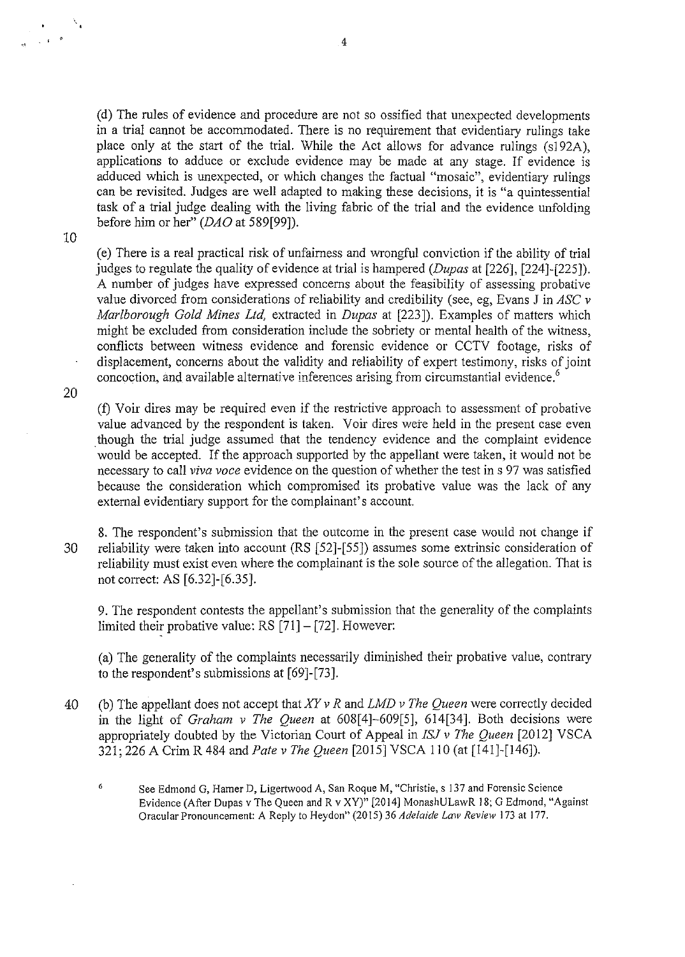(d) The rules of evidence and procedure are not so ossified that unexpected developments in a trial cannot be accommodated. There is no requirement that evidentiary rulings take place only at the start of the trial. While the Act allows for advance rulings (sl92A), applications to adduce or exclude evidence may be made at any stage. If evidence is adduced which is unexpected, or which changes the factual "mosaic", evidentiary rulings can be revisited. Judges are well adapted to making these decisions, it is "a quintessential task of a trial judge dealing with the living fabric of the trial and the evidence unfolding before him or her" (DAO at 589[99]).

10

 $\sqrt{10}$ 

(e) There is a real practical risk of unfairness and wrongful conviction if the ability of trial judges to regulate the quality of evidence at trial is hampered *(Dupas* at [226], [224]-[225]). A number of judges have expressed concerns about the feasibility of assessing probative value divorced from considerations of reliability and credibility (see, eg, Evans J in *ASC v Marlborough Gold Mines Ltd,* extracted in *Dupas* at [223]). Examples of matters which might be excluded from consideration include the sobriety or mental health of the witness, conflicts between witness evidence and forensic evidence or CCTV footage, risks of displacement, concerns about the validity and reliability of expert testimony, risks of joint concoction, and available alternative inferences arising from circumstantial evidence.<sup>6</sup>

20

(f) Voir dires may be required even if the restrictive approach to assessment of probative value advanced by the respondent is taken. Voir dires were held in the present case even . though the trial judge assumed that the tendency evidence and the complaint evidence would be accepted. If the approach supported by the appellant were taken, it would not be necessary to call *viva voce* evidence on the question of whether the test ins 97 was satisfied because the consideration which compromised its probative value was the lack of any external evidentiary support for the complainant's account.

8. The respondent's submission that the outcome in the present case would not change if 30 reliability were taken into account (RS [52]-[ 55]) assumes some extrinsic consideration of reliability must exist even where the complainant is the sole source of the allegation. That is not correct: AS [6.32]-[6.35].

9. The respondent contests the appellant's submission that the generality of the complaints limited their probative value:  $RS [71] - [72]$ . However:

(a) The generality of the complaints necessarily diminished their probative value, contrary to the respondent's submissions at [69]-[73].

40 (b) The appellant does not accept that *XY v R* and *LMD v The Queen* were correctly decided in the light of *Graham v The Queen* at 608[4]-609[5], 614[34]. Both decisions were appropriately doubted by the Victorian Court of Appeal in *ISJ v The Queen* [2012] VSCA 321; 226 A Crim R 484 and *Pate v The Queen* [2015] VSCA 110 (at [141]-[146]).

6 See Edmond G, Hamer D, Ligertwood A, San Roque M, "Christie, s 137 and Forensic Science Evidence (After Dupas v The Queen and R v XY)" [20 14] MonashULawR 18; G Edmond, "Against Oracular Pronouncement: A Reply to Heydon" (2015) 36 *Adelaide Law Review* 173 at 177.